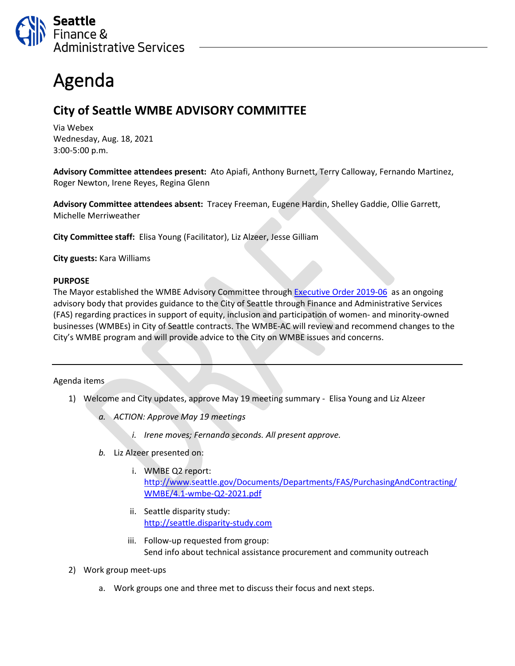

## Agenda

## **City of Seattle WMBE ADVISORY COMMITTEE**

Via Webex Wednesday, Aug. 18, 2021 3:00-5:00 p.m.

**Advisory Committee attendees present:** Ato Apiafi, Anthony Burnett, Terry Calloway, Fernando Martinez, Roger Newton, Irene Reyes, Regina Glenn

**Advisory Committee attendees absent:** Tracey Freeman, Eugene Hardin, Shelley Gaddie, Ollie Garrett, Michelle Merriweather

**City Committee staff:** Elisa Young (Facilitator), Liz Alzeer, Jesse Gilliam

**City guests:** Kara Williams

## **PURPOSE**

The Mayor established the WMBE Advisory Committee through [Executive Order](https://www.seattle.gov/Documents/Departments/FAS/PurchasingAndContracting/WMBE/Executive-Order-2019-06.pdf) 2019-06 as an ongoing advisory body that provides guidance to the City of Seattle through Finance and Administrative Services (FAS) regarding practices in support of equity, inclusion and participation of women- and minority-owned businesses (WMBEs) in City of Seattle contracts. The WMBE-AC will review and recommend changes to the City's WMBE program and will provide advice to the City on WMBE issues and concerns.

## Agenda items

- 1) Welcome and City updates, approve May 19 meeting summary Elisa Young and Liz Alzeer
	- *a. ACTION: Approve May 19 meetings*
		- *i. Irene moves; Fernando seconds. All present approve.*
	- *b.* Liz Alzeer presented on:
		- i. WMBE Q2 report: [http://www.seattle.gov/Documents/Departments/FAS/PurchasingAndContracting/](http://www.seattle.gov/Documents/Departments/FAS/PurchasingAndContracting/WMBE/4.1-wmbe-Q2-2021.pdf) [WMBE/4.1-wmbe-Q2-2021.pdf](http://www.seattle.gov/Documents/Departments/FAS/PurchasingAndContracting/WMBE/4.1-wmbe-Q2-2021.pdf)
		- ii. Seattle disparity study: [http://seattle.disparity-study.com](http://seattle.disparity-study.com/)
		- iii. Follow-up requested from group: Send info about technical assistance procurement and community outreach
- 2) Work group meet-ups
	- a. Work groups one and three met to discuss their focus and next steps.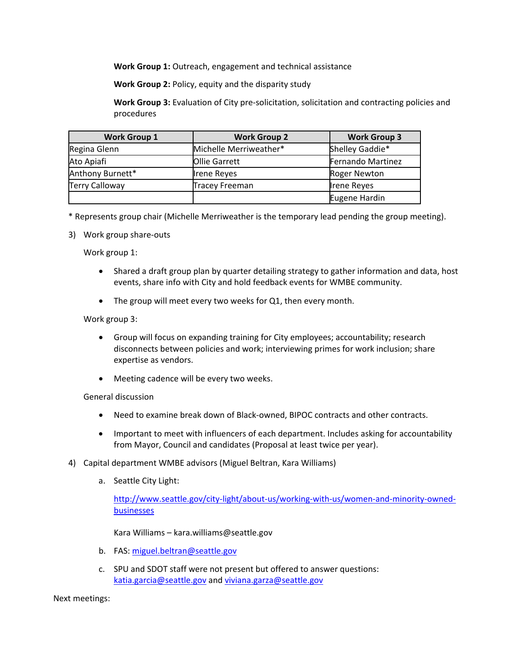**Work Group 1:** Outreach, engagement and technical assistance

**Work Group 2:** Policy, equity and the disparity study

**Work Group 3:** Evaluation of City pre-solicitation, solicitation and contracting policies and procedures

| <b>Work Group 1</b>   | <b>Work Group 2</b>    | <b>Work Group 3</b>      |
|-----------------------|------------------------|--------------------------|
| Regina Glenn          | Michelle Merriweather* | Shelley Gaddie*          |
| Ato Apiafi            | <b>Ollie Garrett</b>   | <b>Fernando Martinez</b> |
| Anthony Burnett*      | <b>Irene Reyes</b>     | <b>Roger Newton</b>      |
| <b>Terry Calloway</b> | <b>Tracey Freeman</b>  | <b>Irene Reyes</b>       |
|                       |                        | Eugene Hardin            |

\* Represents group chair (Michelle Merriweather is the temporary lead pending the group meeting).

3) Work group share-outs

Work group 1:

- Shared a draft group plan by quarter detailing strategy to gather information and data, host events, share info with City and hold feedback events for WMBE community.
- The group will meet every two weeks for Q1, then every month.

Work group 3:

- Group will focus on expanding training for City employees; accountability; research disconnects between policies and work; interviewing primes for work inclusion; share expertise as vendors.
- Meeting cadence will be every two weeks.

General discussion

- Need to examine break down of Black-owned, BIPOC contracts and other contracts.
- Important to meet with influencers of each department. Includes asking for accountability from Mayor, Council and candidates (Proposal at least twice per year).
- 4) Capital department WMBE advisors (Miguel Beltran, Kara Williams)
	- a. Seattle City Light:

[http://www.seattle.gov/city-light/about-us/working-with-us/women-and-minority-owned](http://www.seattle.gov/city-light/about-us/working-with-us/women-and-minority-owned-businesses)[businesses](http://www.seattle.gov/city-light/about-us/working-with-us/women-and-minority-owned-businesses)

Kara Williams – kara.williams@seattle.gov

- b. FAS: [miguel.beltran@seattle.gov](mailto:miguel.beltran@seattle.gov)
- c. SPU and SDOT staff were not present but offered to answer questions: [katia.garcia@seattle.gov](mailto:katia.garcia@seattle.gov) and [viviana.garza@seattle.gov](mailto:viviana.garza@seattle.gov)

Next meetings: